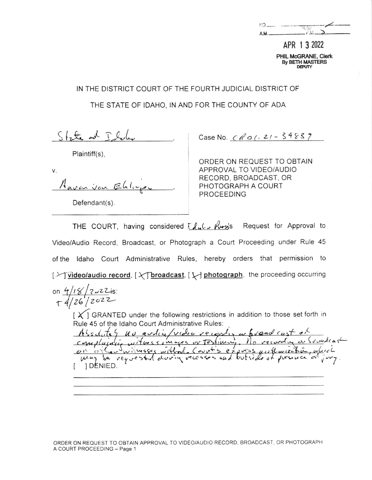| INO. |               |
|------|---------------|
|      | <b>THE</b>    |
| A.M. | $F_{\rm eff}$ |
|      |               |

APR 1 3 2022 PHIL McGRANE, Clerk **By BETH MASTERS DEPLITY** 

IN THE DISTRICT COURT OF THE FOURTH JUDICIAL DISTRICT OF

THE STATE OF IDAHO, IN AND FOR THE COUNTY OF ADA

 $Sf_7f_8$  od  $Tf_8$ 

Plaintiff(s).

V. Navan you Ehlup

Defendant(s).

Case No.  $CRO(-21 - 34837)$ 

ORDER ON REQUEST TO OBTAIN APPROVAL TO VIDEO/AUDIO RECORD, BROADCAST, OR PHOTOGRAPH A COURT **PROCEEDING** 

THE COURT, having considered  $I \sim \mu_{\text{avg}}$  Request for Approval to Video/Audio Record, Broadcast, or Photograph a Court Proceeding under Rule 45 of the Idaho Court Administrative Rules, hereby orders that permission to [X] video/audio record, [X] broadcast, [X] photograph, the proceeding occurring on  $4/18/2022$  is:  $+4/26/2022$ 

 $\lfloor x \rfloor$  GRANTED under the following restrictions in addition to those set forth in Rule 45 of the Idaho Court Administrative Rules:

Absolutes no audio/video recordy or broad cast of on order winnesses without Count's express unthurization, in 1 DENIED.